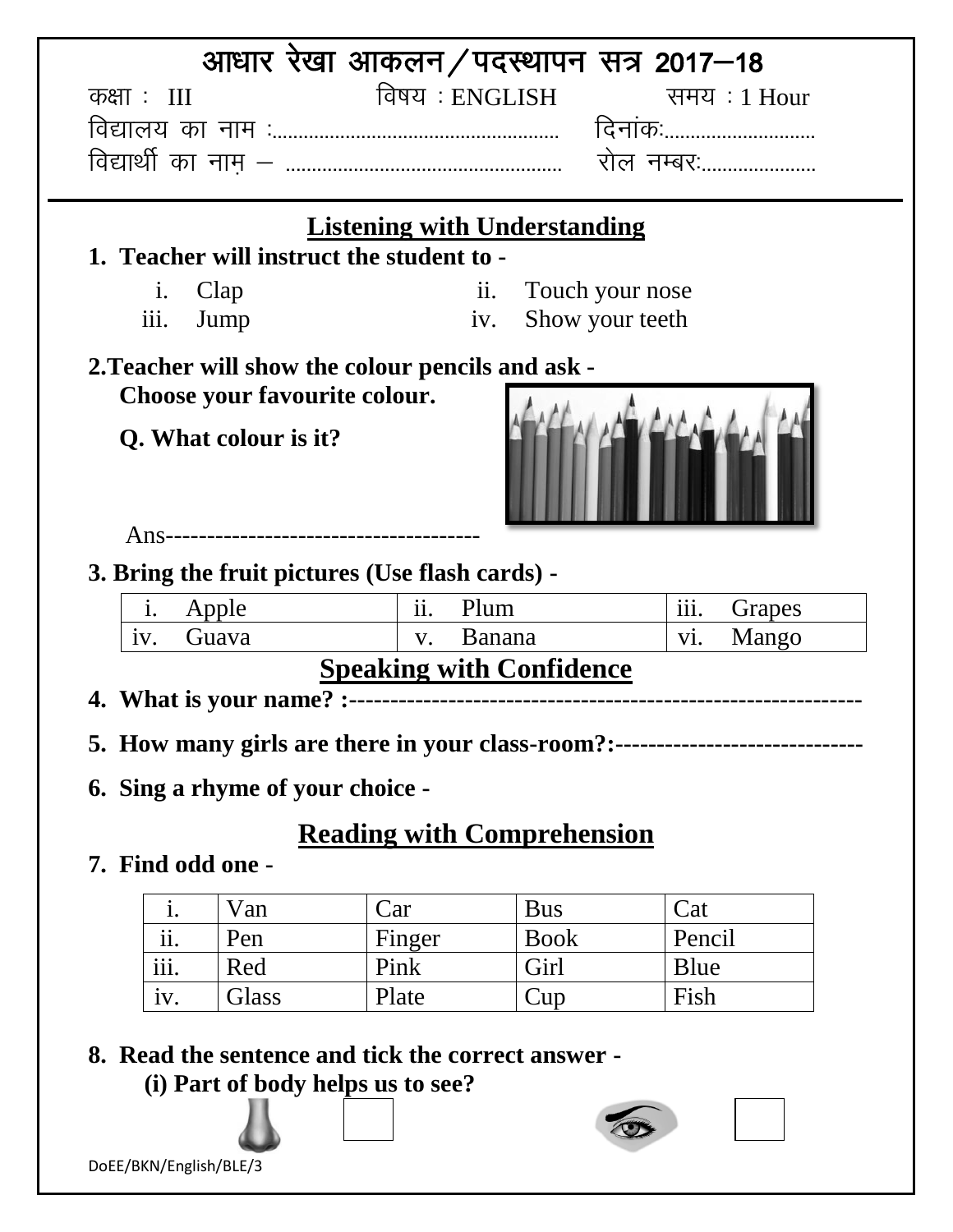| <b>Listening with Understanding</b><br>1. Teacher will instruct the student to -<br>Clap<br>$\mathbf{1}$ .<br>Jump<br>iii.<br>2. Teacher will show the colour pencils and ask -<br>Choose your favourite colour.<br>Q. What colour is it? | ii.<br>Touch your nose<br>Show your teeth<br>iv. | दिनाकः<br>रोल नम्बर:                             |  |  |
|-------------------------------------------------------------------------------------------------------------------------------------------------------------------------------------------------------------------------------------------|--------------------------------------------------|--------------------------------------------------|--|--|
|                                                                                                                                                                                                                                           |                                                  |                                                  |  |  |
|                                                                                                                                                                                                                                           |                                                  |                                                  |  |  |
|                                                                                                                                                                                                                                           |                                                  |                                                  |  |  |
|                                                                                                                                                                                                                                           |                                                  |                                                  |  |  |
|                                                                                                                                                                                                                                           |                                                  |                                                  |  |  |
|                                                                                                                                                                                                                                           |                                                  |                                                  |  |  |
|                                                                                                                                                                                                                                           |                                                  |                                                  |  |  |
|                                                                                                                                                                                                                                           |                                                  |                                                  |  |  |
|                                                                                                                                                                                                                                           |                                                  |                                                  |  |  |
|                                                                                                                                                                                                                                           |                                                  |                                                  |  |  |
| 3. Bring the fruit pictures (Use flash cards) -                                                                                                                                                                                           |                                                  |                                                  |  |  |
| Apple<br>$\mathbf{i}$ .<br>$\overline{11}$ .                                                                                                                                                                                              | Plum                                             | $\overline{\overline{\mathrm{iii}}}$ .<br>Grapes |  |  |
| Guava<br>Banana<br>Mango<br>$\overline{vi}$ .<br>iv.<br>$V_{\bullet}$                                                                                                                                                                     |                                                  |                                                  |  |  |
|                                                                                                                                                                                                                                           | <b>Speaking with Confidence</b>                  |                                                  |  |  |
|                                                                                                                                                                                                                                           |                                                  |                                                  |  |  |
| 5. How many girls are there in your class-room?:--------------------------------                                                                                                                                                          |                                                  |                                                  |  |  |
|                                                                                                                                                                                                                                           |                                                  |                                                  |  |  |
| 6. Sing a rhyme of your choice -                                                                                                                                                                                                          |                                                  |                                                  |  |  |
| <b>Reading with Comprehension</b>                                                                                                                                                                                                         |                                                  |                                                  |  |  |
| 7. Find odd one -                                                                                                                                                                                                                         |                                                  |                                                  |  |  |
| Car<br>Van<br>1.                                                                                                                                                                                                                          | <b>Bus</b>                                       | Cat                                              |  |  |
| ii.<br>Pen<br>Finger                                                                                                                                                                                                                      | <b>Book</b>                                      | Pencil                                           |  |  |
| iii.<br>Pink<br>Red                                                                                                                                                                                                                       | Girl                                             | Blue                                             |  |  |
|                                                                                                                                                                                                                                           | Fish                                             |                                                  |  |  |
| Glass<br>Plate<br>1V.                                                                                                                                                                                                                     | Cup                                              |                                                  |  |  |

DoEE/BKN/English/BLE/3

♨ u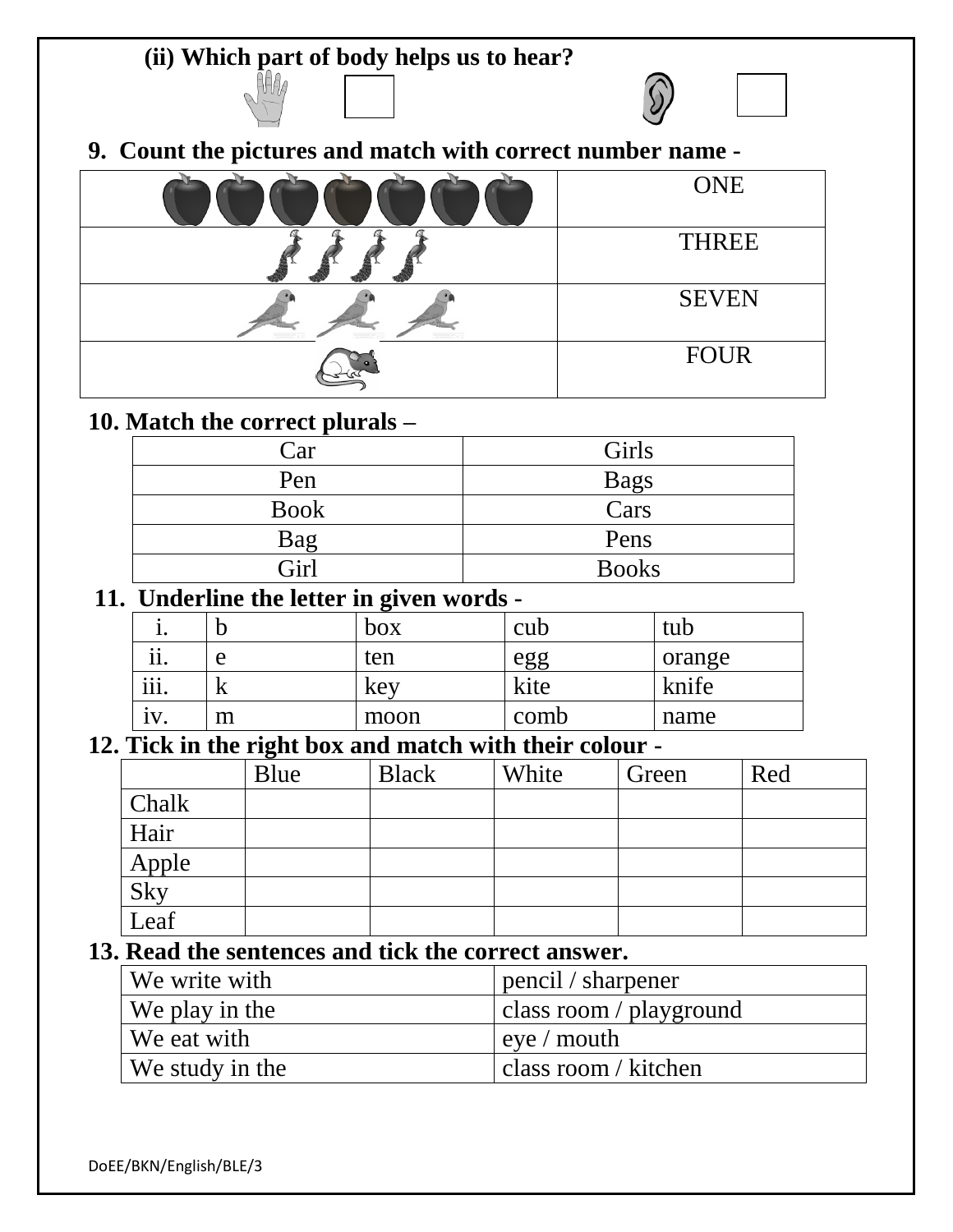**9. Count the pictures and match with correct number name -**

**(ii) Which part of body helps us to hear?**

| <b>ONE</b>   |
|--------------|
| <b>THREE</b> |
| <b>SEVEN</b> |
| <b>FOUR</b>  |

## **10. Match the correct plurals –**

AH A

| Car         | Girls        |
|-------------|--------------|
| Pen         | <b>Bags</b>  |
| <b>Book</b> | Cars         |
| Bag         | Pens         |
| Girl        | <b>Books</b> |

## **11. Underline the letter in given words -**

|                         |     | ັ<br>box | cub  | tub    |
|-------------------------|-----|----------|------|--------|
| $\bullet\bullet$<br>11. | e   | ten      | egg  | orange |
| $\cdots$<br>111.        | 1X. | Kev      | kite | knife  |
|                         | m   | moon     | comb | name   |

## **12. Tick in the right box and match with their colour -**

|                      | Blue | <b>Black</b> | White | Green | Red |
|----------------------|------|--------------|-------|-------|-----|
| Chalk                |      |              |       |       |     |
| Hair                 |      |              |       |       |     |
|                      |      |              |       |       |     |
| Apple<br>Sky<br>Leaf |      |              |       |       |     |
|                      |      |              |       |       |     |

## **13. Read the sentences and tick the correct answer.**

| We write with   | $\mu$ pencil / sharpener |
|-----------------|--------------------------|
| We play in the  | class room / playground  |
| We eat with     | $\vert$ eye / mouth      |
| We study in the | class room / kitchen     |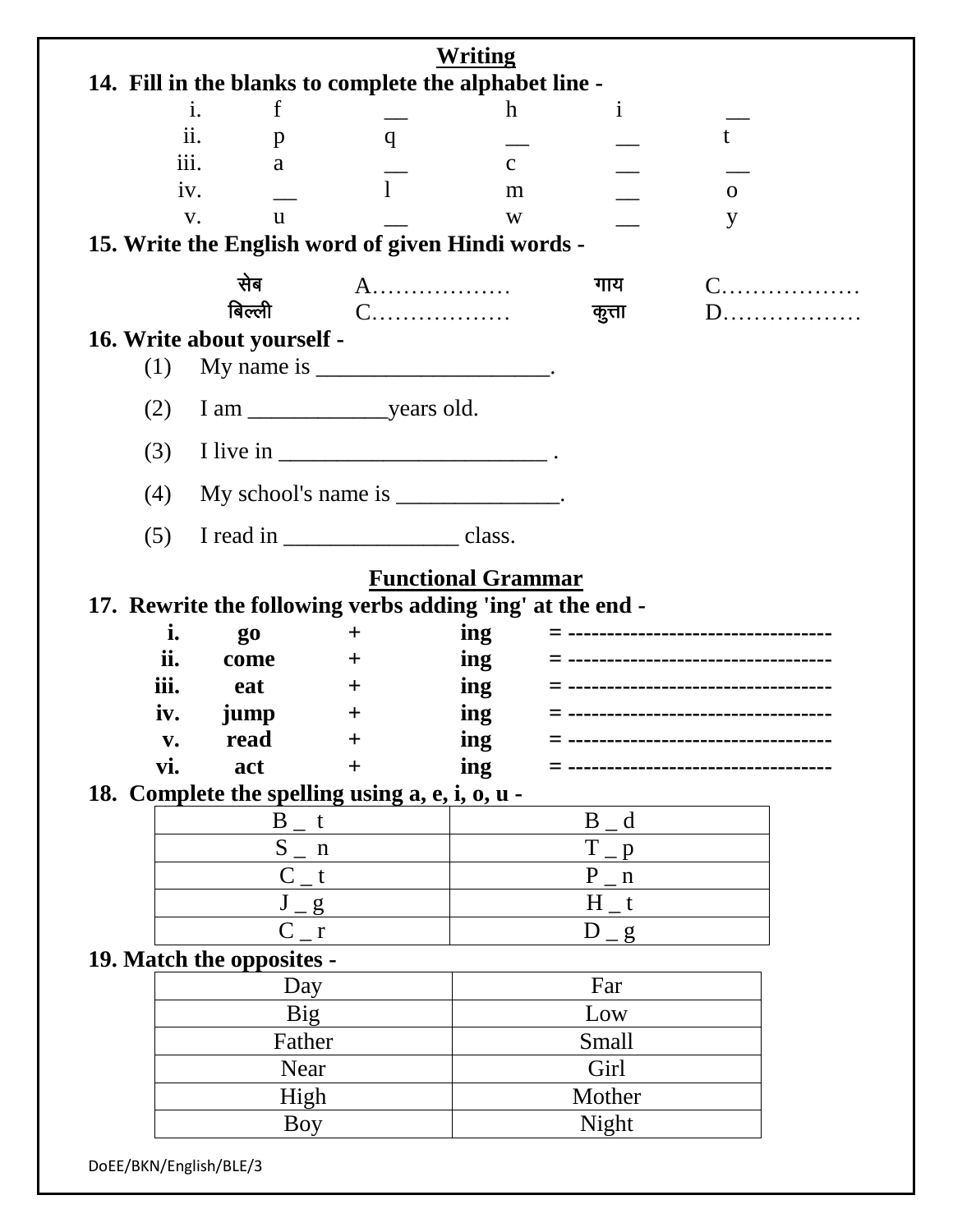| Writing                                                |                                                           |                     |                           |                       |                               |  |
|--------------------------------------------------------|-----------------------------------------------------------|---------------------|---------------------------|-----------------------|-------------------------------|--|
| 14. Fill in the blanks to complete the alphabet line - |                                                           |                     |                           |                       |                               |  |
|                                                        | $\mathbf f$<br>i.                                         |                     | $\mathbf h$               | $\mathbf{i}$          |                               |  |
|                                                        | ii.<br>$\mathbf{p}$                                       | q                   |                           |                       |                               |  |
|                                                        | $\overline{111}$ .<br>a                                   |                     | $\mathbf{C}$              |                       |                               |  |
|                                                        | $\mathbf{1}$<br>iv.<br>m                                  |                     |                           | $\mathbf{O}$          |                               |  |
| V.<br>W<br><u>u</u>                                    |                                                           |                     |                           | y                     |                               |  |
|                                                        | 15. Write the English word of given Hindi words -         |                     |                           |                       |                               |  |
|                                                        | सेब                                                       |                     | A.                        | गाय                   | $C$                           |  |
|                                                        | बिल्ली                                                    |                     | C.                        | कुत्ता                |                               |  |
|                                                        | 16. Write about yourself -                                |                     |                           |                       |                               |  |
| (1)                                                    | My name is __________________________.                    |                     |                           |                       |                               |  |
| (2)                                                    |                                                           |                     |                           |                       |                               |  |
| (3)                                                    |                                                           |                     |                           |                       |                               |  |
| (4)                                                    | My school's name is ______________.                       |                     |                           |                       |                               |  |
| (5)                                                    |                                                           |                     |                           |                       |                               |  |
|                                                        |                                                           |                     |                           |                       |                               |  |
|                                                        |                                                           |                     | <b>Functional Grammar</b> |                       |                               |  |
|                                                        | 17. Rewrite the following verbs adding 'ing' at the end - |                     |                           |                       |                               |  |
| i.<br>ii.                                              | <b>go</b>                                                 | $\pm$               | ing                       |                       | ----------------------------- |  |
| iii.                                                   | come                                                      | $\pm$               | ing                       |                       |                               |  |
|                                                        | eat                                                       | $\pm$               | ing                       |                       |                               |  |
| iv.                                                    | jump<br>read                                              | $\pm$               | ing<br>ing                |                       |                               |  |
| V.<br>vi.                                              | act                                                       | $\bm{+}$<br>$\ddag$ | ing                       |                       |                               |  |
|                                                        | 18. Complete the spelling using a, e, i, o, u -           |                     |                           |                       |                               |  |
|                                                        | $B_{-}t$                                                  |                     |                           | B d                   |                               |  |
|                                                        | $S_{n}$ n                                                 |                     |                           | T                     |                               |  |
|                                                        | $C_t$                                                     |                     |                           | $\mathbf{D}$<br>$P_n$ |                               |  |
|                                                        |                                                           |                     |                           | $H_t$                 |                               |  |
|                                                        | $J_{g}$<br>$C_{r}$                                        |                     |                           | $D_{g}$               |                               |  |
| 19. Match the opposites -                              |                                                           |                     |                           |                       |                               |  |
| Day                                                    |                                                           |                     | Far                       |                       |                               |  |
| <b>Big</b>                                             |                                                           | Low                 |                           |                       |                               |  |
|                                                        | Father                                                    |                     | Small                     |                       |                               |  |
|                                                        | Near                                                      |                     | Girl                      |                       |                               |  |
|                                                        | High                                                      |                     |                           | Mother                |                               |  |
|                                                        | Boy                                                       |                     | Night                     |                       |                               |  |
| DoEE/BKN/English/BLE/3                                 |                                                           |                     |                           |                       |                               |  |